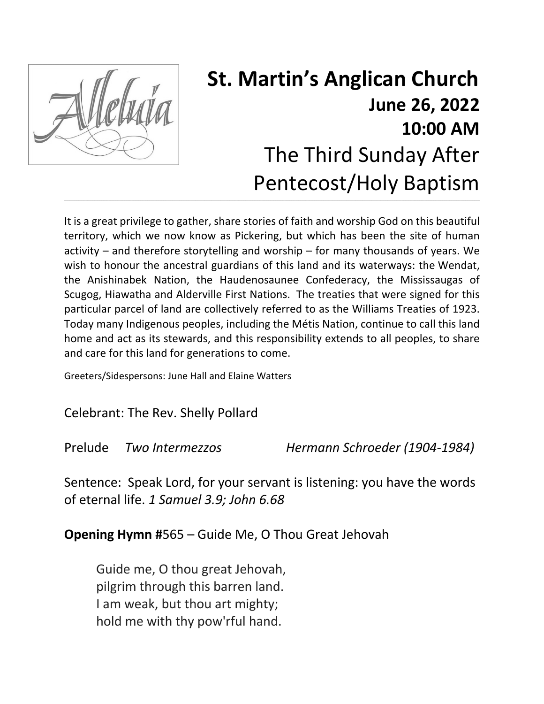

# **St. Martin's Anglican Church June 26, 2022 10:00 AM** The Third Sunday After Pentecost/Holy Baptism

It is a great privilege to gather, share stories of faith and worship God on this beautiful territory, which we now know as Pickering, but which has been the site of human activity – and therefore storytelling and worship – for many thousands of years. We wish to honour the ancestral guardians of this land and its waterways: the Wendat, the Anishinabek Nation, the Haudenosaunee Confederacy, the Mississaugas of Scugog, Hiawatha and Alderville First Nations. The treaties that were signed for this particular parcel of land are collectively referred to as the Williams Treaties of 1923. Today many Indigenous peoples, including the Métis Nation, continue to call this land home and act as its stewards, and this responsibility extends to all peoples, to share and care for this land for generations to come.

Greeters/Sidespersons: June Hall and Elaine Watters

Celebrant: The Rev. Shelly Pollard

Prelude *Two Intermezzos Hermann Schroeder (1904-1984)*

Sentence: Speak Lord, for your servant is listening: you have the words of eternal life. *1 Samuel 3.9; John 6.68* 

**Opening Hymn #**565 – Guide Me, O Thou Great Jehovah

Guide me, O thou great Jehovah, pilgrim through this barren land. I am weak, but thou art mighty; hold me with thy pow'rful hand.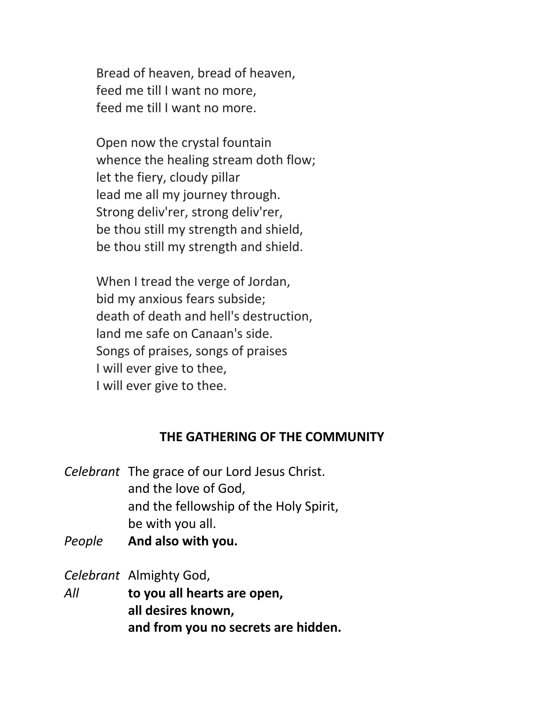Bread of heaven, bread of heaven, feed me till I want no more, feed me till I want no more.

Open now the crystal fountain whence the healing stream doth flow; let the fiery, cloudy pillar lead me all my journey through. Strong deliv'rer, strong deliv'rer, be thou still my strength and shield, be thou still my strength and shield.

When I tread the verge of Jordan, bid my anxious fears subside; death of death and hell's destruction, land me safe on Canaan's side. Songs of praises, songs of praises I will ever give to thee, I will ever give to thee.

#### **THE GATHERING OF THE COMMUNITY**

- *Celebrant* The grace of our Lord Jesus Christ. and the love of God, and the fellowship of the Holy Spirit, be with you all.
- *People* **And also with you.**

*Celebrant* Almighty God,

*All* **to you all hearts are open, all desires known, and from you no secrets are hidden.**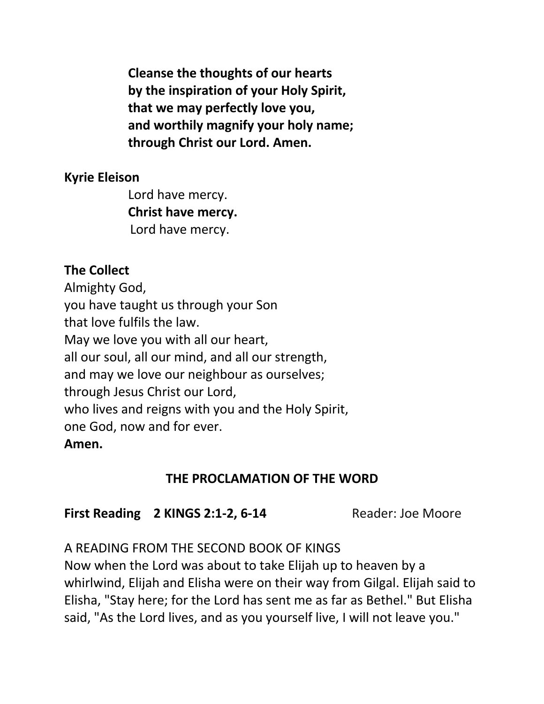**Cleanse the thoughts of our hearts by the inspiration of your Holy Spirit, that we may perfectly love you, and worthily magnify your holy name; through Christ our Lord. Amen.**

#### **Kyrie Eleison**

Lord have mercy. **Christ have mercy.**  Lord have mercy.

# **The Collect**

Almighty God, you have taught us through your Son that love fulfils the law. May we love you with all our heart, all our soul, all our mind, and all our strength, and may we love our neighbour as ourselves; through Jesus Christ our Lord, who lives and reigns with you and the Holy Spirit, one God, now and for ever. **Amen.**

# **THE PROCLAMATION OF THE WORD**

# **First Reading 2 KINGS 2:1-2, 6-14** Reader: Joe Moore

A READING FROM THE SECOND BOOK OF KINGS

Now when the Lord was about to take Elijah up to heaven by a whirlwind, Elijah and Elisha were on their way from Gilgal. Elijah said to Elisha, "Stay here; for the Lord has sent me as far as Bethel." But Elisha said, "As the Lord lives, and as you yourself live, I will not leave you."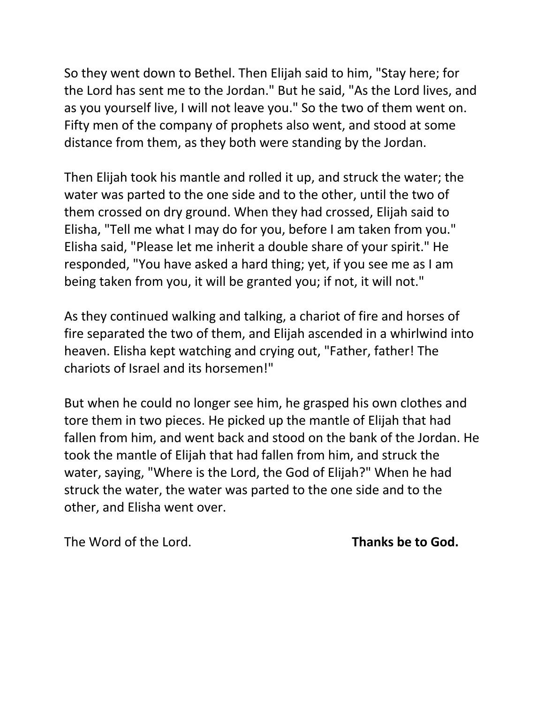So they went down to Bethel. Then Elijah said to him, "Stay here; for the Lord has sent me to the Jordan." But he said, "As the Lord lives, and as you yourself live, I will not leave you." So the two of them went on. Fifty men of the company of prophets also went, and stood at some distance from them, as they both were standing by the Jordan.

Then Elijah took his mantle and rolled it up, and struck the water; the water was parted to the one side and to the other, until the two of them crossed on dry ground. When they had crossed, Elijah said to Elisha, "Tell me what I may do for you, before I am taken from you." Elisha said, "Please let me inherit a double share of your spirit." He responded, "You have asked a hard thing; yet, if you see me as I am being taken from you, it will be granted you; if not, it will not."

As they continued walking and talking, a chariot of fire and horses of fire separated the two of them, and Elijah ascended in a whirlwind into heaven. Elisha kept watching and crying out, "Father, father! The chariots of Israel and its horsemen!"

But when he could no longer see him, he grasped his own clothes and tore them in two pieces. He picked up the mantle of Elijah that had fallen from him, and went back and stood on the bank of the Jordan. He took the mantle of Elijah that had fallen from him, and struck the water, saying, "Where is the Lord, the God of Elijah?" When he had struck the water, the water was parted to the one side and to the other, and Elisha went over.

The Word of the Lord. **Thanks be to God.**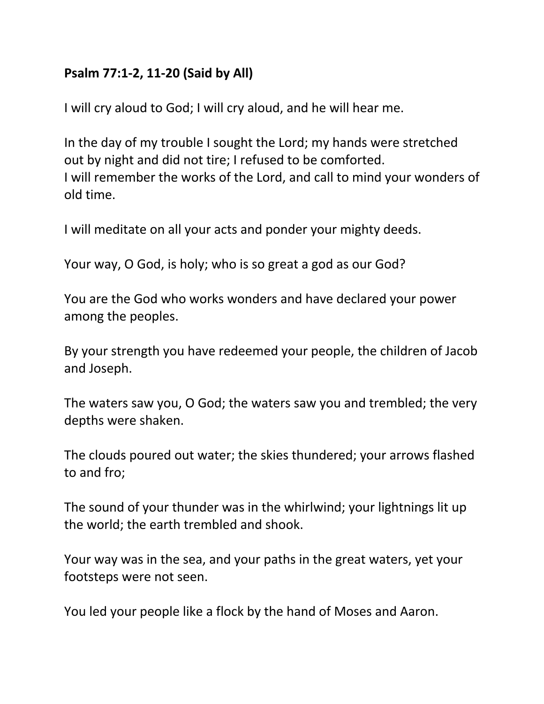# **Psalm 77:1-2, 11-20 (Said by All)**

I will cry aloud to God; I will cry aloud, and he will hear me.

In the day of my trouble I sought the Lord; my hands were stretched out by night and did not tire; I refused to be comforted. I will remember the works of the Lord, and call to mind your wonders of old time.

I will meditate on all your acts and ponder your mighty deeds.

Your way, O God, is holy; who is so great a god as our God?

You are the God who works wonders and have declared your power among the peoples.

By your strength you have redeemed your people, the children of Jacob and Joseph.

The waters saw you, O God; the waters saw you and trembled; the very depths were shaken.

The clouds poured out water; the skies thundered; your arrows flashed to and fro;

The sound of your thunder was in the whirlwind; your lightnings lit up the world; the earth trembled and shook.

Your way was in the sea, and your paths in the great waters, yet your footsteps were not seen.

You led your people like a flock by the hand of Moses and Aaron.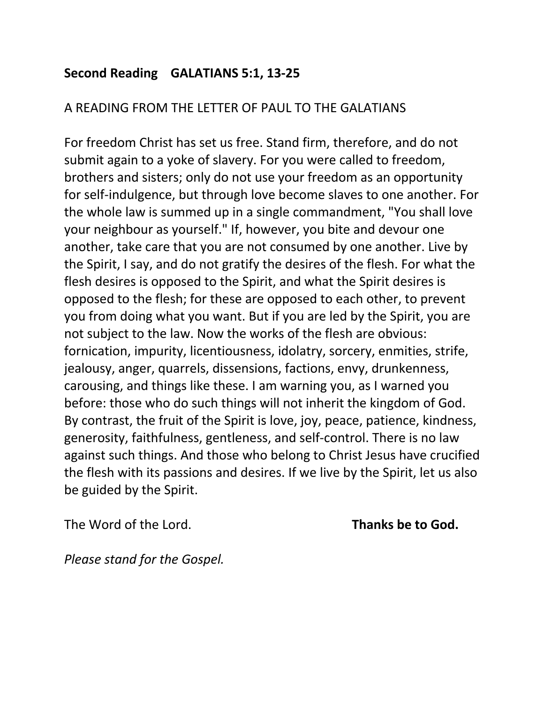## **Second Reading GALATIANS 5:1, 13-25**

### A READING FROM THE LETTER OF PAUL TO THE GALATIANS

For freedom Christ has set us free. Stand firm, therefore, and do not submit again to a yoke of slavery. For you were called to freedom, brothers and sisters; only do not use your freedom as an opportunity for self-indulgence, but through love become slaves to one another. For the whole law is summed up in a single commandment, "You shall love your neighbour as yourself." If, however, you bite and devour one another, take care that you are not consumed by one another. Live by the Spirit, I say, and do not gratify the desires of the flesh. For what the flesh desires is opposed to the Spirit, and what the Spirit desires is opposed to the flesh; for these are opposed to each other, to prevent you from doing what you want. But if you are led by the Spirit, you are not subject to the law. Now the works of the flesh are obvious: fornication, impurity, licentiousness, idolatry, sorcery, enmities, strife, jealousy, anger, quarrels, dissensions, factions, envy, drunkenness, carousing, and things like these. I am warning you, as I warned you before: those who do such things will not inherit the kingdom of God. By contrast, the fruit of the Spirit is love, joy, peace, patience, kindness, generosity, faithfulness, gentleness, and self-control. There is no law against such things. And those who belong to Christ Jesus have crucified the flesh with its passions and desires. If we live by the Spirit, let us also be guided by the Spirit.

The Word of the Lord. **Thanks be to God.**

*Please stand for the Gospel.*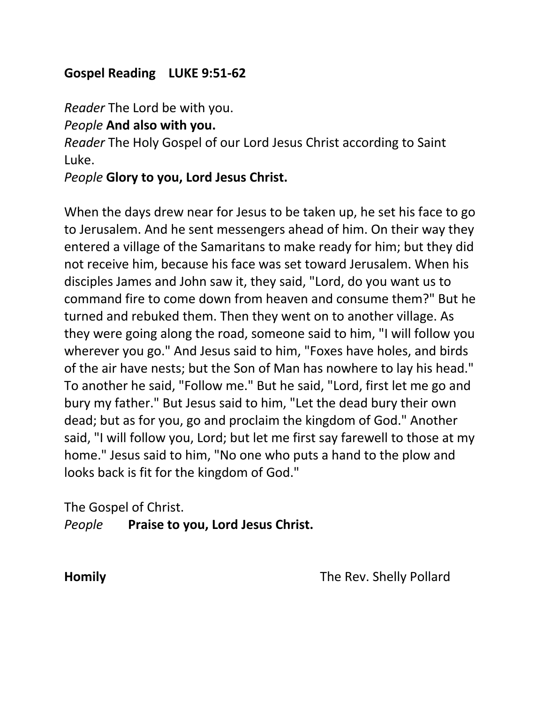# **Gospel Reading LUKE 9:51-62**

*Reader* The Lord be with you.

*People* **And also with you.** 

*Reader* The Holy Gospel of our Lord Jesus Christ according to Saint Luke.

*People* **Glory to you, Lord Jesus Christ.**

When the days drew near for Jesus to be taken up, he set his face to go to Jerusalem. And he sent messengers ahead of him. On their way they entered a village of the Samaritans to make ready for him; but they did not receive him, because his face was set toward Jerusalem. When his disciples James and John saw it, they said, "Lord, do you want us to command fire to come down from heaven and consume them?" But he turned and rebuked them. Then they went on to another village. As they were going along the road, someone said to him, "I will follow you wherever you go." And Jesus said to him, "Foxes have holes, and birds of the air have nests; but the Son of Man has nowhere to lay his head." To another he said, "Follow me." But he said, "Lord, first let me go and bury my father." But Jesus said to him, "Let the dead bury their own dead; but as for you, go and proclaim the kingdom of God." Another said, "I will follow you, Lord; but let me first say farewell to those at my home." Jesus said to him, "No one who puts a hand to the plow and looks back is fit for the kingdom of God."

The Gospel of Christ.

*People* **Praise to you, Lord Jesus Christ.**

**Homily** The Rev. Shelly Pollard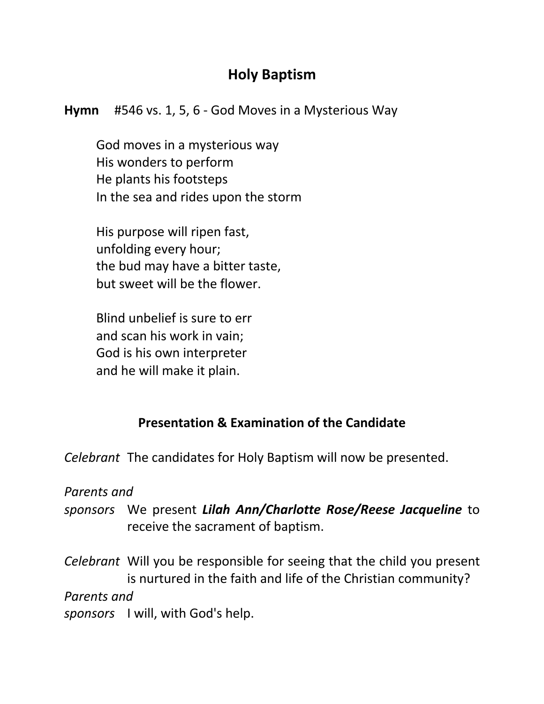# **Holy Baptism**

**Hymn** #546 vs. 1, 5, 6 - God Moves in a Mysterious Way

God moves in a mysterious way His wonders to perform He plants his footsteps In the sea and rides upon the storm

His purpose will ripen fast, unfolding every hour; the bud may have a bitter taste, but sweet will be the flower.

Blind unbelief is sure to err and scan his work in vain; God is his own interpreter and he will make it plain.

### **Presentation & Examination of the Candidate**

*Celebrant* The candidates for Holy Baptism will now be presented.

*Parents and* 

- *sponsors* We present *Lilah Ann/Charlotte Rose/Reese Jacqueline* to receive the sacrament of baptism.
- *Celebrant* Will you be responsible for seeing that the child you present is nurtured in the faith and life of the Christian community?

*Parents and* 

*sponsors* I will, with God's help.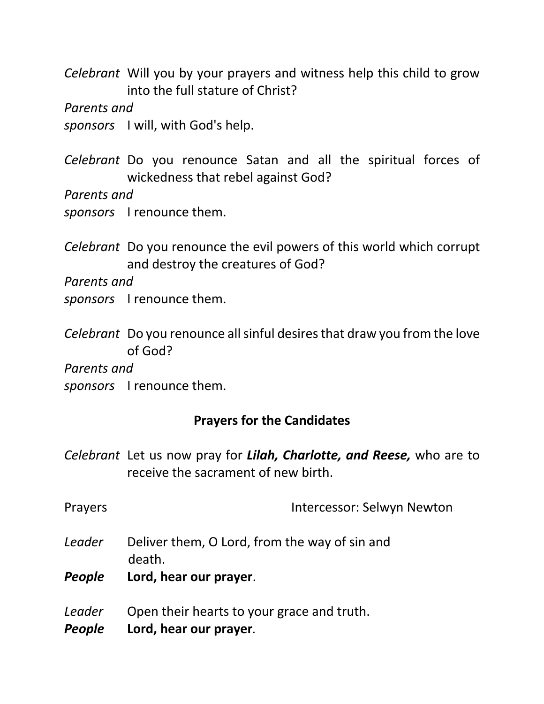*Celebrant* Will you by your prayers and witness help this child to grow into the full stature of Christ?

*Parents and* 

*sponsors* I will, with God's help.

*Celebrant* Do you renounce Satan and all the spiritual forces of wickedness that rebel against God?

*Parents and* 

*sponsors* I renounce them.

*Celebrant* Do you renounce the evil powers of this world which corrupt and destroy the creatures of God?

*Parents and* 

- *sponsors* I renounce them.
- *Celebrant* Do you renounce all sinful desires that draw you from the love of God?

*Parents and*

*sponsors* I renounce them.

### **Prayers for the Candidates**

- *Celebrant* Let us now pray for *Lilah, Charlotte, and Reese,* who are to receive the sacrament of new birth.
- Prayers **Intercessor: Selwyn Newton**
- Leader Deliver them, O Lord, from the way of sin and death.
- *People* **Lord, hear our prayer**.
- Leader Open their hearts to your grace and truth.
- *People* **Lord, hear our prayer***.*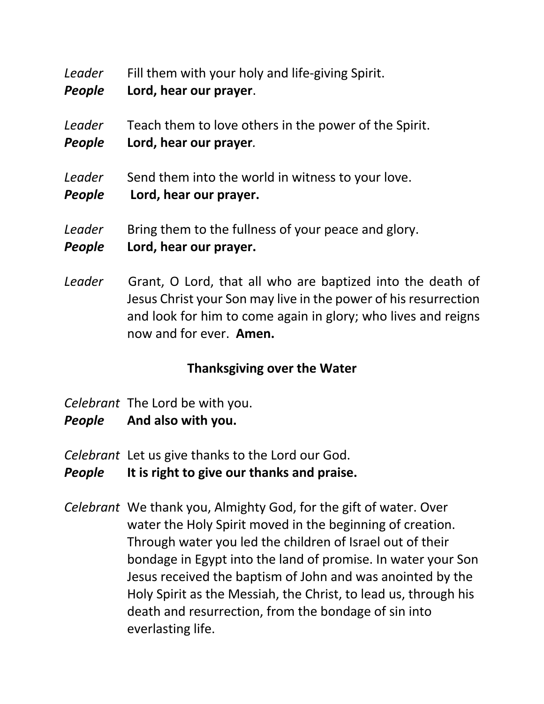*Leader* Fill them with your holy and life-giving Spirit.

*People* **Lord, hear our prayer**.

Leader Teach them to love others in the power of the Spirit. *People* **Lord, hear our prayer***.*

Leader Send them into the world in witness to your love. *People* **Lord, hear our prayer.**

Leader Bring them to the fullness of your peace and glory.

### *People* **Lord, hear our prayer.**

*Leader* Grant, O Lord, that all who are baptized into the death of Jesus Christ your Son may live in the power of his resurrection and look for him to come again in glory; who lives and reigns now and for ever. **Amen.**

# **Thanksgiving over the Water**

*Celebrant* The Lord be with you.

*People* **And also with you.**

*Celebrant* Let us give thanks to the Lord our God.

# *People* **It is right to give our thanks and praise.**

*Celebrant* We thank you, Almighty God, for the gift of water. Over water the Holy Spirit moved in the beginning of creation. Through water you led the children of Israel out of their bondage in Egypt into the land of promise. In water your Son Jesus received the baptism of John and was anointed by the Holy Spirit as the Messiah, the Christ, to lead us, through his death and resurrection, from the bondage of sin into everlasting life.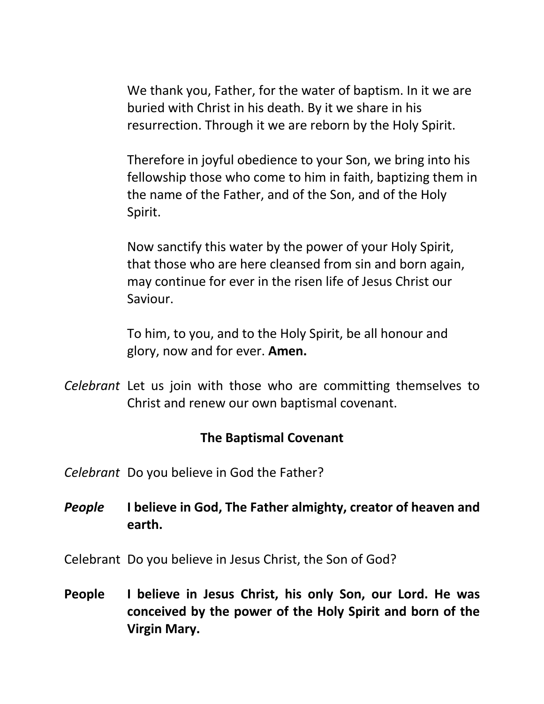We thank you, Father, for the water of baptism. In it we are buried with Christ in his death. By it we share in his resurrection. Through it we are reborn by the Holy Spirit.

Therefore in joyful obedience to your Son, we bring into his fellowship those who come to him in faith, baptizing them in the name of the Father, and of the Son, and of the Holy Spirit.

Now sanctify this water by the power of your Holy Spirit, that those who are here cleansed from sin and born again, may continue for ever in the risen life of Jesus Christ our Saviour.

To him, to you, and to the Holy Spirit, be all honour and glory, now and for ever. **Amen.**

*Celebrant* Let us join with those who are committing themselves to Christ and renew our own baptismal covenant.

#### **The Baptismal Covenant**

- *Celebrant* Do you believe in God the Father?
- *People* **I believe in God, The Father almighty, creator of heaven and earth.**

Celebrant Do you believe in Jesus Christ, the Son of God?

**People I believe in Jesus Christ, his only Son, our Lord. He was conceived by the power of the Holy Spirit and born of the Virgin Mary.**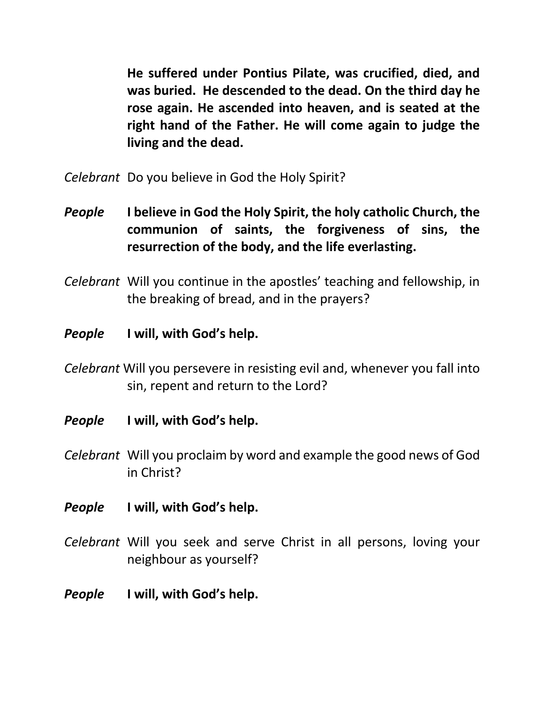**He suffered under Pontius Pilate, was crucified, died, and was buried. He descended to the dead. On the third day he rose again. He ascended into heaven, and is seated at the right hand of the Father. He will come again to judge the living and the dead.** 

*Celebrant* Do you believe in God the Holy Spirit?

- *People* **I believe in God the Holy Spirit, the holy catholic Church, the communion of saints, the forgiveness of sins, the resurrection of the body, and the life everlasting.**
- *Celebrant* Will you continue in the apostles' teaching and fellowship, in the breaking of bread, and in the prayers?
- *People* **I will, with God's help.**
- *Celebrant* Will you persevere in resisting evil and, whenever you fall into sin, repent and return to the Lord?
- *People* **I will, with God's help.**
- *Celebrant* Will you proclaim by word and example the good news of God in Christ?
- *People* **I will, with God's help.**
- *Celebrant* Will you seek and serve Christ in all persons, loving your neighbour as yourself?
- *People* **I will, with God's help.**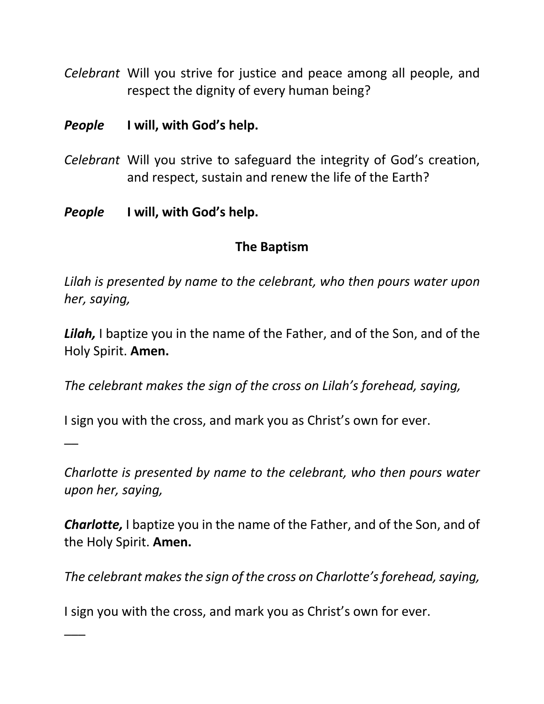- *Celebrant* Will you strive for justice and peace among all people, and respect the dignity of every human being?
- *People* **I will, with God's help.**
- *Celebrant* Will you strive to safeguard the integrity of God's creation, and respect, sustain and renew the life of the Earth?
- *People* **I will, with God's help.**

# **The Baptism**

*Lilah is presented by name to the celebrant, who then pours water upon her, saying,*

*Lilah,* I baptize you in the name of the Father, and of the Son, and of the Holy Spirit. **Amen.**

*The celebrant makes the sign of the cross on Lilah's forehead, saying,*

I sign you with the cross, and mark you as Christ's own for ever.

 $\overline{\phantom{a}}$ 

 $\overline{\phantom{a}}$ 

*Charlotte is presented by name to the celebrant, who then pours water upon her, saying,*

*Charlotte,* I baptize you in the name of the Father, and of the Son, and of the Holy Spirit. **Amen.**

*The celebrant makes the sign of the cross on Charlotte'sforehead, saying,*

I sign you with the cross, and mark you as Christ's own for ever.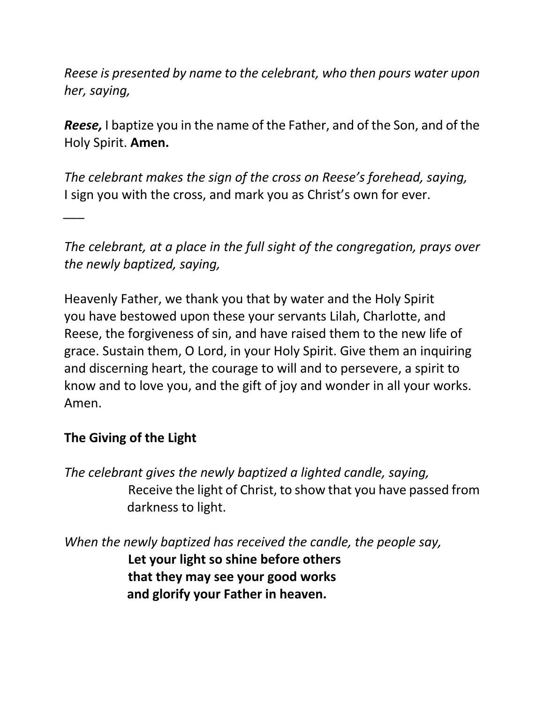*Reese is presented by name to the celebrant, who then pours water upon her, saying,*

*Reese,* I baptize you in the name of the Father, and of the Son, and of the Holy Spirit. **Amen.**

*The celebrant makes the sign of the cross on Reese's forehead, saying,* I sign you with the cross, and mark you as Christ's own for ever.

*The celebrant, at a place in the full sight of the congregation, prays over the newly baptized, saying,*

Heavenly Father, we thank you that by water and the Holy Spirit you have bestowed upon these your servants Lilah, Charlotte, and Reese, the forgiveness of sin, and have raised them to the new life of grace. Sustain them, O Lord, in your Holy Spirit. Give them an inquiring and discerning heart, the courage to will and to persevere, a spirit to know and to love you, and the gift of joy and wonder in all your works. Amen.

# **The Giving of the Light**

*\_\_\_*

*The celebrant gives the newly baptized a lighted candle, saying,* Receive the light of Christ, to show that you have passed from darkness to light.

*When the newly baptized has received the candle, the people say,* **Let your light so shine before others that they may see your good works and glorify your Father in heaven.**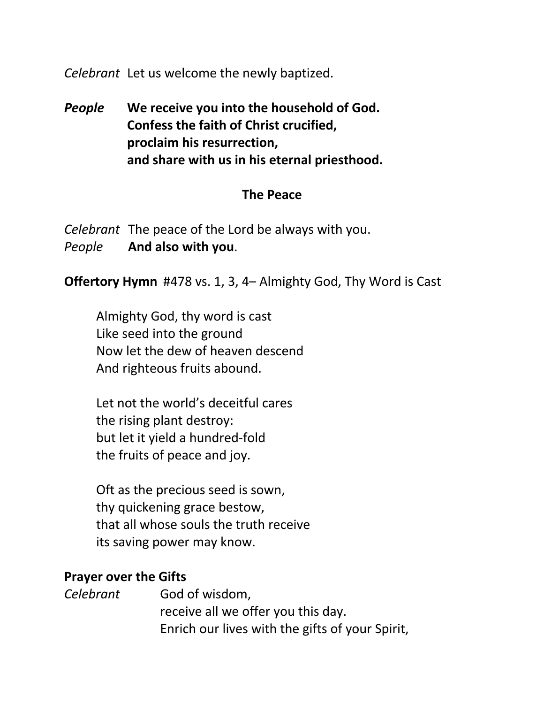*Celebrant* Let us welcome the newly baptized.

*People* **We receive you into the household of God. Confess the faith of Christ crucified, proclaim his resurrection, and share with us in his eternal priesthood.**

### **The Peace**

*Celebrant* The peace of the Lord be always with you. *People* **And also with you**.

**Offertory Hymn** #478 vs. 1, 3, 4– Almighty God, Thy Word is Cast

Almighty God, thy word is cast Like seed into the ground Now let the dew of heaven descend And righteous fruits abound.

Let not the world's deceitful cares the rising plant destroy: but let it yield a hundred-fold the fruits of peace and joy.

Oft as the precious seed is sown, thy quickening grace bestow, that all whose souls the truth receive its saving power may know.

#### **Prayer over the Gifts**

*Celebrant* God of wisdom, receive all we offer you this day. Enrich our lives with the gifts of your Spirit,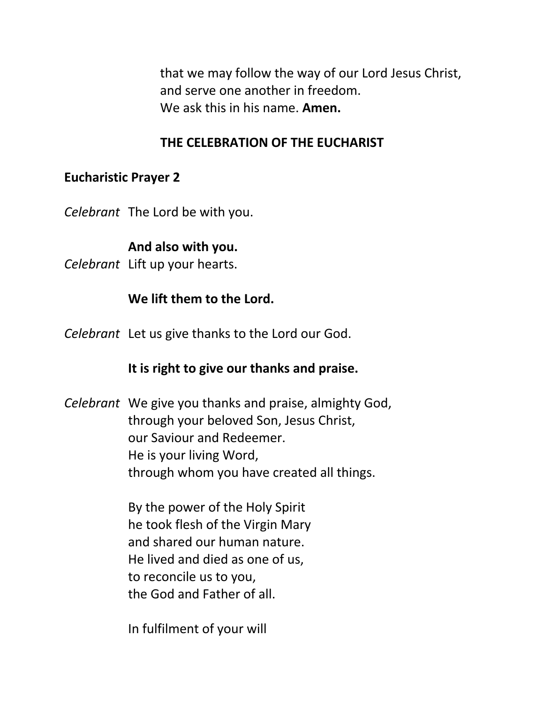that we may follow the way of our Lord Jesus Christ, and serve one another in freedom. We ask this in his name. **Amen.**

# **THE CELEBRATION OF THE EUCHARIST**

#### **Eucharistic Prayer 2**

*Celebrant* The Lord be with you.

#### **And also with you.**

*Celebrant* Lift up your hearts.

#### **We lift them to the Lord.**

*Celebrant* Let us give thanks to the Lord our God.

#### **It is right to give our thanks and praise.**

*Celebrant* We give you thanks and praise, almighty God, through your beloved Son, Jesus Christ, our Saviour and Redeemer. He is your living Word, through whom you have created all things.

> By the power of the Holy Spirit he took flesh of the Virgin Mary and shared our human nature. He lived and died as one of us, to reconcile us to you, the God and Father of all.

In fulfilment of your will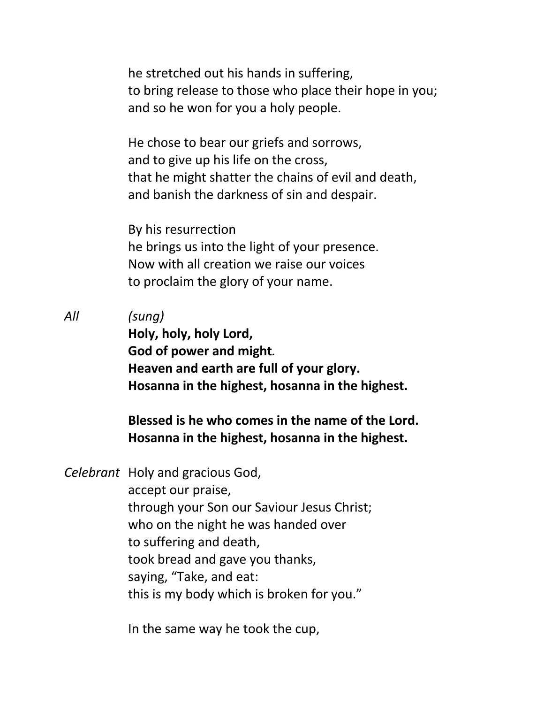he stretched out his hands in suffering, to bring release to those who place their hope in you; and so he won for you a holy people.

He chose to bear our griefs and sorrows, and to give up his life on the cross, that he might shatter the chains of evil and death, and banish the darkness of sin and despair.

By his resurrection he brings us into the light of your presence. Now with all creation we raise our voices to proclaim the glory of your name.

*All (sung)*

**Holy, holy, holy Lord, God of power and might***.* **Heaven and earth are full of your glory. Hosanna in the highest, hosanna in the highest.**

# **Blessed is he who comes in the name of the Lord. Hosanna in the highest, hosanna in the highest.**

*Celebrant* Holy and gracious God,

accept our praise, through your Son our Saviour Jesus Christ; who on the night he was handed over to suffering and death, took bread and gave you thanks, saying, "Take, and eat: this is my body which is broken for you."

In the same way he took the cup,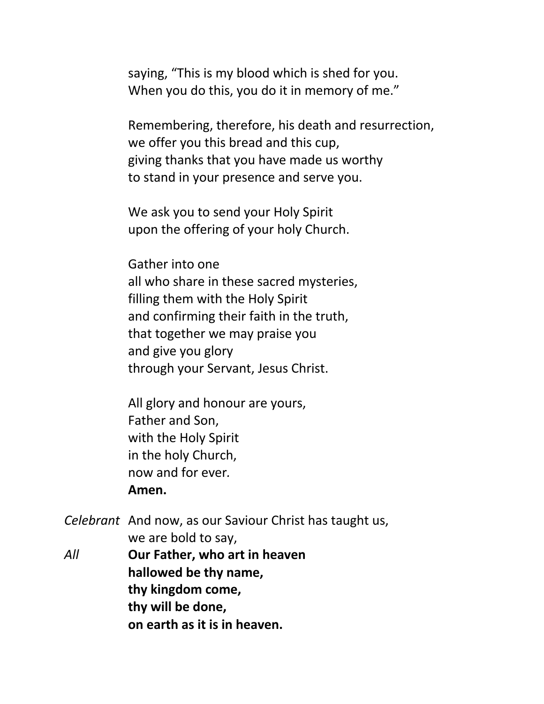saying, "This is my blood which is shed for you. When you do this, you do it in memory of me."

Remembering, therefore, his death and resurrection, we offer you this bread and this cup, giving thanks that you have made us worthy to stand in your presence and serve you.

We ask you to send your Holy Spirit upon the offering of your holy Church.

Gather into one all who share in these sacred mysteries, filling them with the Holy Spirit and confirming their faith in the truth, that together we may praise you and give you glory through your Servant, Jesus Christ.

All glory and honour are yours, Father and Son, with the Holy Spirit in the holy Church, now and for ever*.* **Amen.**

- *Celebrant* And now, as our Saviour Christ has taught us, we are bold to say,
- *All* **Our Father, who art in heaven hallowed be thy name, thy kingdom come, thy will be done, on earth as it is in heaven.**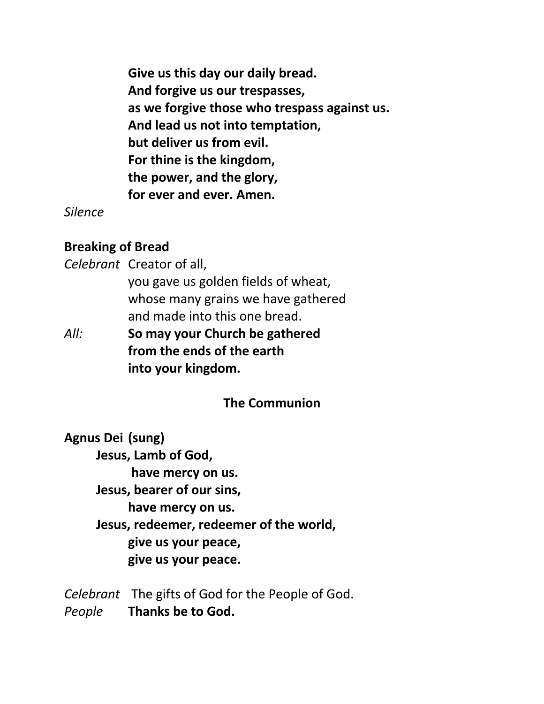**Give us this day our daily bread. And forgive us our trespasses, as we forgive those who trespass against us. And lead us not into temptation, but deliver us from evil. For thine is the kingdom, the power, and the glory, for ever and ever. Amen.** 

*Silence* 

#### **Breaking of Bread**

*Celebrant* Creator of all,

you gave us golden fields of wheat, whose many grains we have gathered and made into this one bread.

*All:* **So may your Church be gathered from the ends of the earth into your kingdom.** 

### **The Communion**

**Agnus Dei (sung) Jesus, Lamb of God, have mercy on us. Jesus, bearer of our sins, have mercy on us. Jesus, redeemer, redeemer of the world, give us your peace, give us your peace.** 

*Celebrant* The gifts of God for the People of God. *People* **Thanks be to God.**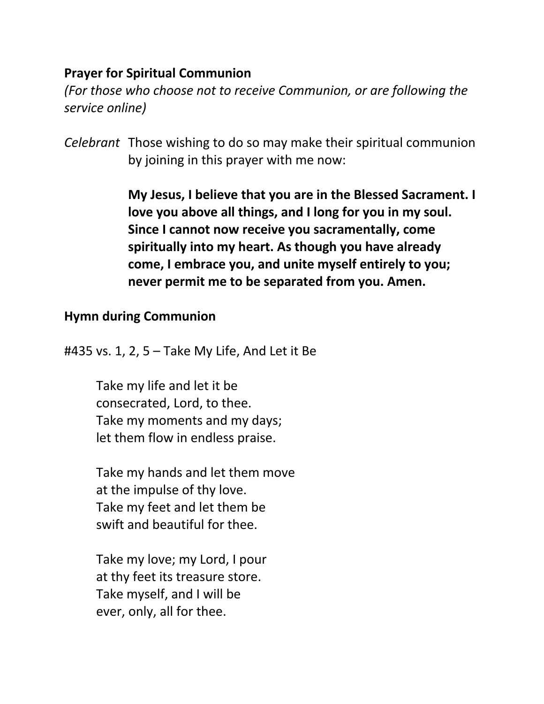### **Prayer for Spiritual Communion**

*(For those who choose not to receive Communion, or are following the service online)*

*Celebrant* Those wishing to do so may make their spiritual communion by joining in this prayer with me now:

> **My Jesus, I believe that you are in the Blessed Sacrament. I love you above all things, and I long for you in my soul. Since I cannot now receive you sacramentally, come spiritually into my heart. As though you have already come, I embrace you, and unite myself entirely to you; never permit me to be separated from you. Amen.**

#### **Hymn during Communion**

#435 vs. 1, 2, 5 – Take My Life, And Let it Be

Take my life and let it be consecrated, Lord, to thee. Take my moments and my days; let them flow in endless praise.

Take my hands and let them move at the impulse of thy love. Take my feet and let them be swift and beautiful for thee.

Take my love; my Lord, I pour at thy feet its treasure store. Take myself, and I will be ever, only, all for thee.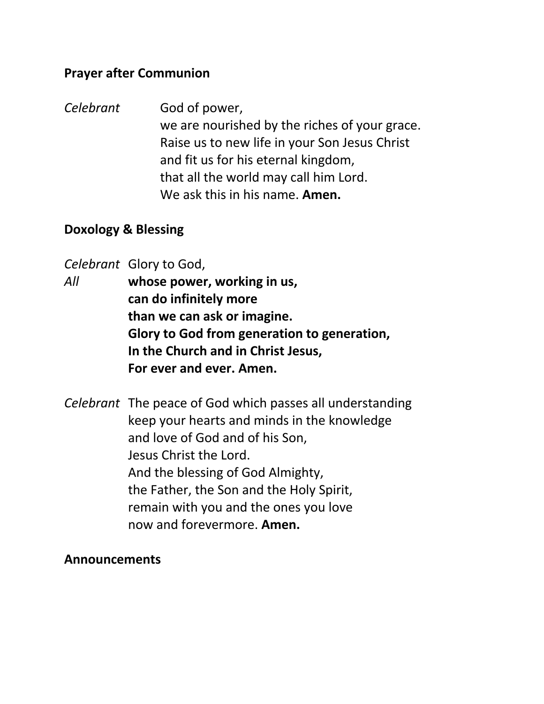#### **Prayer after Communion**

*Celebrant* God of power, we are nourished by the riches of your grace. Raise us to new life in your Son Jesus Christ and fit us for his eternal kingdom, that all the world may call him Lord. We ask this in his name. **Amen.**

#### **Doxology & Blessing**

*Celebrant* Glory to God,

*All* **whose power, working in us, can do infinitely more than we can ask or imagine. Glory to God from generation to generation, In the Church and in Christ Jesus, For ever and ever. Amen.**

*Celebrant* The peace of God which passes all understanding keep your hearts and minds in the knowledge and love of God and of his Son, Jesus Christ the Lord. And the blessing of God Almighty, the Father, the Son and the Holy Spirit, remain with you and the ones you love now and forevermore. **Amen.**

#### **Announcements**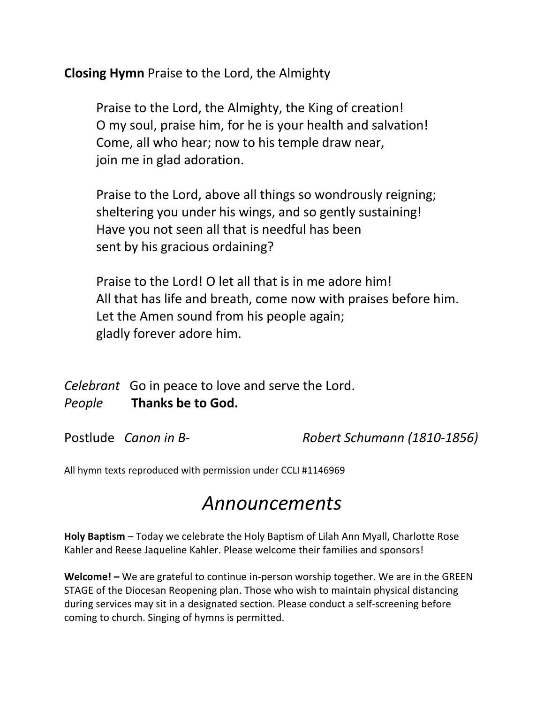**Closing Hymn** Praise to the Lord, the Almighty

Praise to the Lord, the Almighty, the King of creation! O my soul, praise him, for he is your health and salvation! Come, all who hear; now to his temple draw near, join me in glad adoration.

Praise to the Lord, above all things so wondrously reigning; sheltering you under his wings, and so gently sustaining! Have you not seen all that is needful has been sent by his gracious ordaining?

Praise to the Lord! O let all that is in me adore him! All that has life and breath, come now with praises before him. Let the Amen sound from his people again; gladly forever adore him.

*Celebrant* Go in peace to love and serve the Lord. *People* **Thanks be to God.** 

Postlude *Canon in B- Robert Schumann (1810-1856)*

All hymn texts reproduced with permission under CCLI #1146969

# *Announcements*

**Holy Baptism** – Today we celebrate the Holy Baptism of Lilah Ann Myall, Charlotte Rose Kahler and Reese Jaqueline Kahler. Please welcome their families and sponsors!

**Welcome! –** We are grateful to continue in-person worship together. We are in the GREEN STAGE of the Diocesan Reopening plan. Those who wish to maintain physical distancing during services may sit in a designated section. Please conduct a self-screening before coming to church. Singing of hymns is permitted.